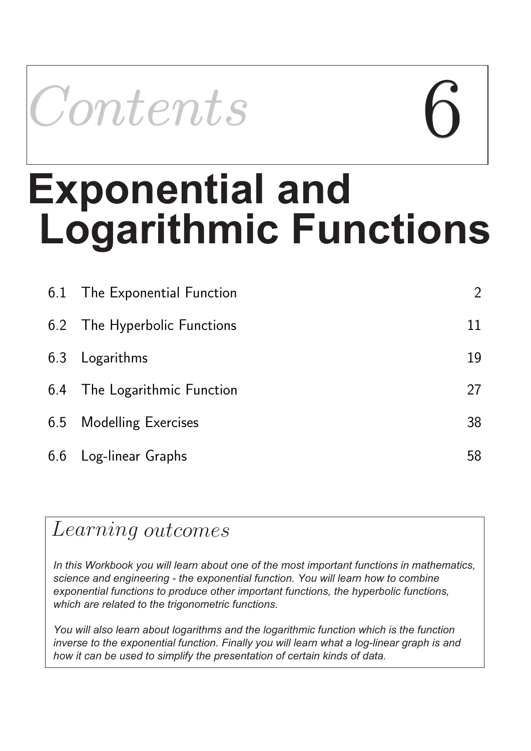

# **Logarithmic Functions Exponential and**

| 6.1 The Exponential Function | $\overline{2}$ |
|------------------------------|----------------|
| 6.2 The Hyperbolic Functions | 11             |
| 6.3 Logarithms               | 19             |
| 6.4 The Logarithmic Function | 27             |
| 6.5 Modelling Exercises      | 38             |
| 6.6 Log-linear Graphs        | 58             |

## Learning outcomes

*In this Workbook you will learn about one of the most important functions in mathematics, science and engineering - the exponential function. You will learn how to combine exponential functions to produce other important functions, the hyperbolic functions, which are related to the trigonometric functions.*

*You will also learn about logarithms and the logarithmic function which is the function inverse to the exponential function. Finally you will learn what a log-linear graph is and how it can be used to simplify the presentation of certain kinds of data.*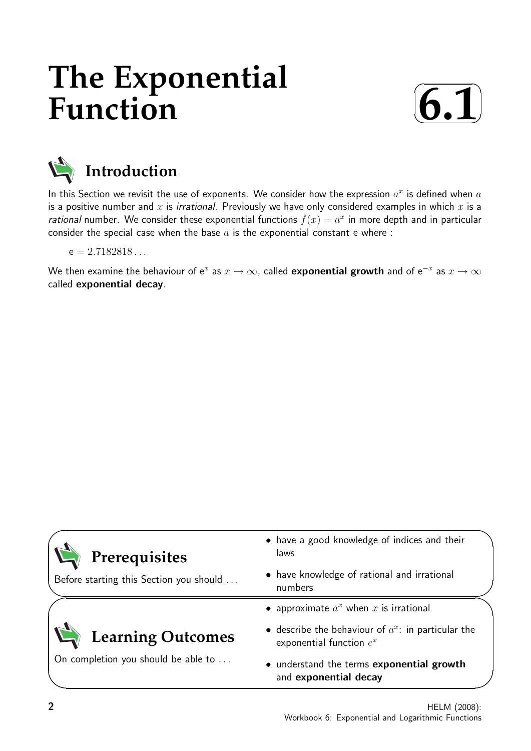## **The Exponential Function**





## **Introduction**

In this Section we revisit the use of exponents. We consider how the expression  $a^x$  is defined when  $a$ is a positive number and x is *irrational*. Previously we have only considered examples in which x is a rational number. We consider these exponential functions  $f(x) = a^x$  in more depth and in particular consider the special case when the base  $a$  is the exponential constant e where :

 $e = 2.7182818...$ 

We then examine the behaviour of  ${\rm e}^x$  as  $x\to\infty$ , called  ${\bf exponential}$  growth and of  ${\rm e}^{-x}$  as  $x\to\infty$ called exponential decay.

| Prerequisites                           | • have a good knowledge of indices and their<br>laws                                |  |
|-----------------------------------------|-------------------------------------------------------------------------------------|--|
| Before starting this Section you should | • have knowledge of rational and irrational<br>numbers                              |  |
|                                         | • approximate $a^x$ when x is irrational                                            |  |
| <b>Learning Outcomes</b>                | • describe the behaviour of $a^x$ : in particular the<br>exponential function $e^x$ |  |
| On completion you should be able to     | • understand the terms exponential growth<br>and exponential decay                  |  |

 $\overline{\phantom{0}}$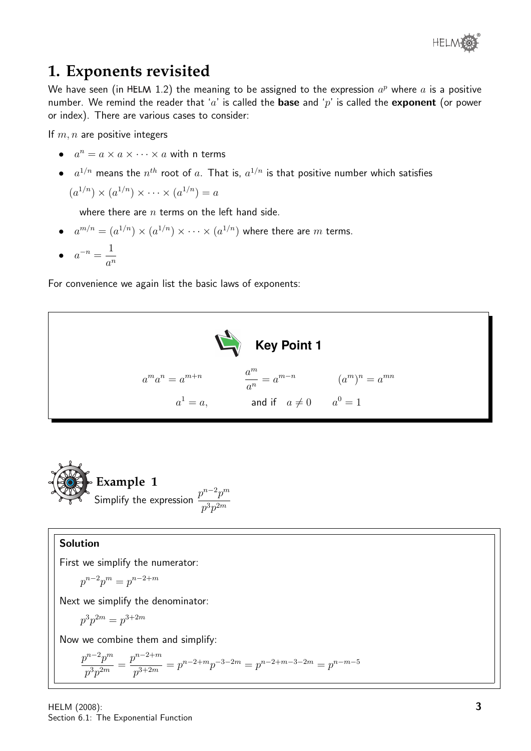

## **1. Exponents revisited**

We have seen (in HELM 1.2) the meaning to be assigned to the expression  $a^p$  where  $a$  is a positive number. We remind the reader that 'a' is called the **base** and 'p' is called the **exponent** (or power or index). There are various cases to consider:

If  $m, n$  are positive integers

- $a^n = a \times a \times \cdots \times a$  with n terms
- $\bullet$   $\quad$   $a^{1/n}$  means the  $n^{th}$  root of  $a$ . That is,  $a^{1/n}$  is that positive number which satisfies

$$
(a^{1/n}) \times (a^{1/n}) \times \cdots \times (a^{1/n}) = a
$$

where there are  $n$  terms on the left hand side.

- $\bullet$   $a^{m/n} = (a^{1/n}) \times (a^{1/n}) \times \cdots \times (a^{1/n})$  where there are  $m$  terms.
- $a^{-n} = \frac{1}{a}$  $a^n$

For convenience we again list the basic laws of exponents:





#### Solution

First we simplify the numerator:

$$
p^{n-2}p^m = p^{n-2+m}
$$

Next we simplify the denominator:

$$
p^3 p^{2m} = p^{3+2m}
$$

Now we combine them and simplify:

$$
\frac{p^{n-2}p^m}{p^3p^{2m}} = \frac{p^{n-2+m}}{p^{3+2m}} = p^{n-2+m}p^{-3-2m} = p^{n-2+m-3-2m} = p^{n-m-5}
$$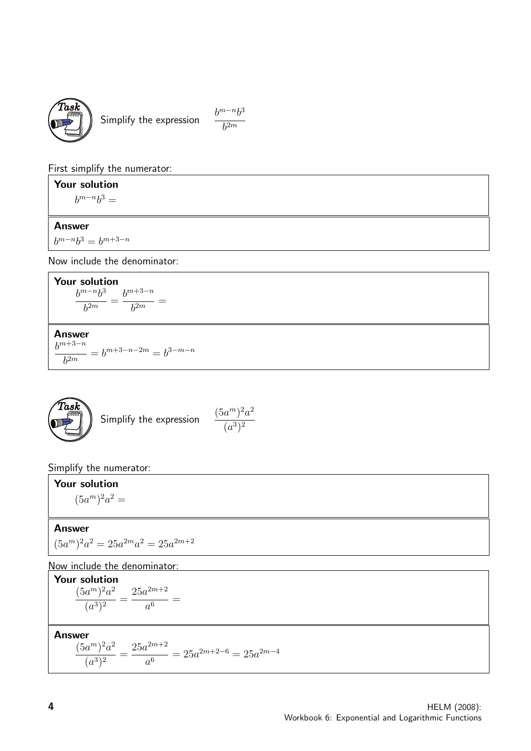

Simplify the expression  $\frac{b^{m-n}b^3}{b^2}$ 

 $b^{2m}$ 

First simplify the numerator:

Your solution

 $b^{m-n}b^3 =$ 

#### Answer

 $b^{m-n}b^3 = b^{m+3-n}$ 

Now include the denominator:

**Your solution**  

$$
\frac{b^{m-n}b^3}{b^{2m}} = \frac{b^{m+3-n}}{b^{2m}} =
$$

Answer

 $b^{m+3-n}$  $b^{2m}$  $= b^{m+3-n-2m} = b^{3-m-n}$ 



Simplify the numerator:

Your solution  $(5a^m)^2a^2 =$ 

#### Answer

$$
(5a^m)^2 a^2 = 25a^{2m} a^2 = 25a^{2m+2}
$$

#### Now include the denominator:

**Your solution**  

$$
\frac{(5a^m)^2a^2}{(a^3)^2} = \frac{25a^{2m+2}}{a^6} =
$$

Answer  
\n
$$
\frac{(5a^m)^2a^2}{(a^3)^2} = \frac{25a^{2m+2}}{a^6} = 25a^{2m+2-6} = 25a^{2m-4}
$$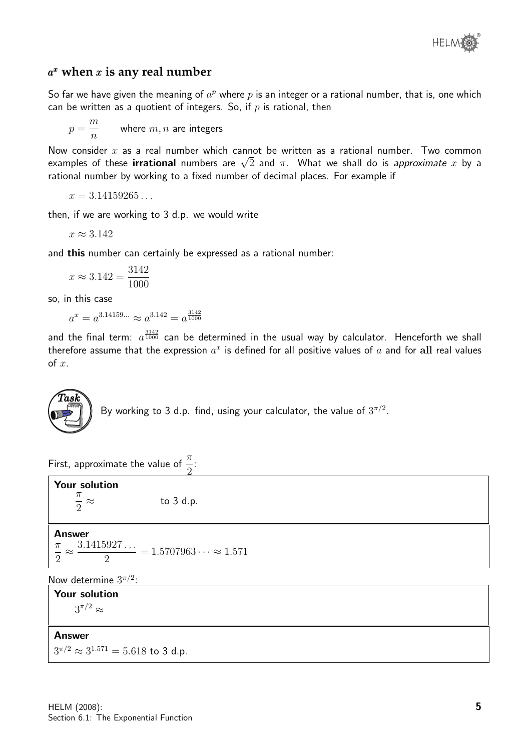

#### a <sup>x</sup> **when** x **is any real number**

So far we have given the meaning of  $a^p$  where  $p$  is an integer or a rational number, that is, one which can be written as a quotient of integers. So, if  $p$  is rational, then

$$
p = \frac{m}{n}
$$
 where  $m, n$  are integers

Now consider x as a real number which cannot be written as a rational number. Two common ινοw consider  $x$  as a real number which cannot be written as a rational number. Two common<br>examples of these **irrational** numbers are  $\sqrt{2}$  and  $\pi$ . What we shall do is *approximate*  $x$  by a rational number by working to a fixed number of decimal places. For example if

$$
x=3.14159265\ldots
$$

then, if we are working to 3 d.p. we would write

$$
x \approx 3.142
$$

and this number can certainly be expressed as a rational number:

$$
x \approx 3.142 = \frac{3142}{1000}
$$

so, in this case

$$
a^x = a^{3.14159...} \approx a^{3.142} = a^{\frac{3142}{1000}}
$$

and the final term:  $a^{3142}_{1000}$  can be determined in the usual way by calculator. Henceforth we shall therefore assume that the expression  $a^x$  is defined for all positive values of  $a$  and for  $\mathbf{all}$  real values of  $x$ .



By working to 3 d.p. find, using your calculator, the value of  $3^{\pi/2}.$ 

First, approximate the value of  $\frac{\pi}{2}$ 2 :

| <b>Your solution</b><br>$rac{\pi}{2} \approx$ | to $3$ d.p.                                                         |  |
|-----------------------------------------------|---------------------------------------------------------------------|--|
| <b>Answer</b>                                 | $\frac{1}{2} \approx \frac{3.1415927}{2} = 1.5707963 \approx 1.571$ |  |
| Now determine $3^{\pi/2}$ :                   |                                                                     |  |
| Your solution                                 |                                                                     |  |
| $\sim$                                        |                                                                     |  |

 $3^{\pi/2} \approx$ 

#### Answer

 $3^{\pi/2} \approx 3^{1.571} = 5.618$  to 3 d.p.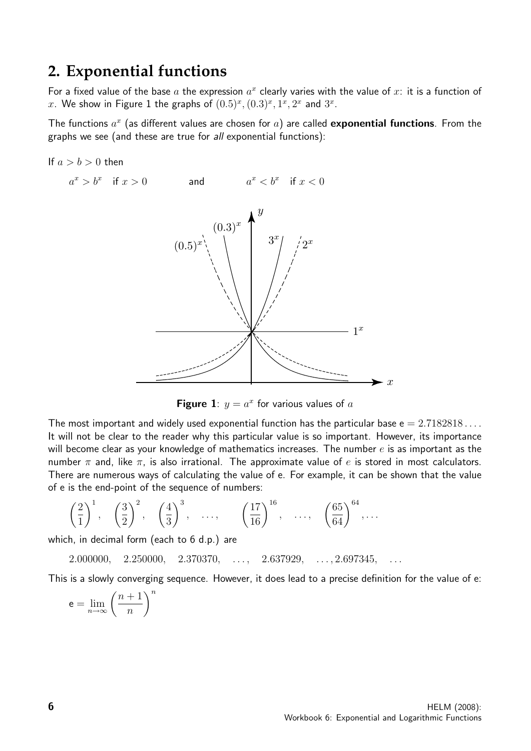### **2. Exponential functions**

For a fixed value of the base  $a$  the expression  $a^x$  clearly varies with the value of  $x$ : it is a function of x. We show in Figure 1 the graphs of  $(0.5)^x$ ,  $(0.3)^x$ ,  $1^x$ ,  $2^x$  and  $3^x$ .

The functions  $a^x$  (as different values are chosen for  $a$ ) are called exponential functions. From the graphs we see (and these are true for all exponential functions):

If 
$$
a > b > 0
$$
 then



**Figure 1**:  $y = a^x$  for various values of a

The most important and widely used exponential function has the particular base  $e = 2.7182818...$ It will not be clear to the reader why this particular value is so important. However, its importance will become clear as your knowledge of mathematics increases. The number  $e$  is as important as the number  $\pi$  and, like  $\pi$ , is also irrational. The approximate value of e is stored in most calculators. There are numerous ways of calculating the value of e. For example, it can be shown that the value of e is the end-point of the sequence of numbers:

$$
\left(\frac{2}{1}\right)^1
$$
,  $\left(\frac{3}{2}\right)^2$ ,  $\left(\frac{4}{3}\right)^3$ , ...,  $\left(\frac{17}{16}\right)^{16}$ , ...,  $\left(\frac{65}{64}\right)^{64}$ , ...

which, in decimal form (each to 6 d.p.) are

 $2.000000, 2.250000, 2.370370, \ldots, 2.637929, \ldots, 2.697345,$ 

This is a slowly converging sequence. However, it does lead to a precise definition for the value of e:

$$
\mathsf{e}=\lim_{n\to\infty}\left(\frac{n+1}{n}\right)^n
$$

 $\alpha$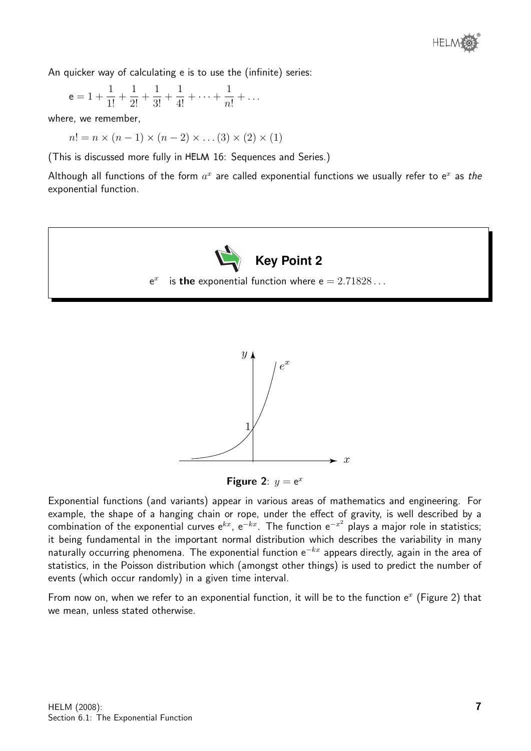An quicker way of calculating e is to use the (infinite) series:

$$
e = 1 + \frac{1}{1!} + \frac{1}{2!} + \frac{1}{3!} + \frac{1}{4!} + \dots + \frac{1}{n!} + \dots
$$

where, we remember,

 $n! = n \times (n-1) \times (n-2) \times \ldots (3) \times (2) \times (1)$ 

(This is discussed more fully in 16: Sequences and Series.)

Although all functions of the form  $a^x$  are called exponential functions we usually refer to e<sup>x</sup> as the exponential function.







Exponential functions (and variants) appear in various areas of mathematics and engineering. For example, the shape of a hanging chain or rope, under the effect of gravity, is well described by a combination of the exponential curves e<sup>kx</sup>, e<sup>−kx</sup>. The function e<sup>−x2</sup> plays a major role in statistics; it being fundamental in the important normal distribution which describes the variability in many naturally occurring phenomena. The exponential function  $e^{-kx}$  appears directly, again in the area of statistics, in the Poisson distribution which (amongst other things) is used to predict the number of events (which occur randomly) in a given time interval.

From now on, when we refer to an exponential function, it will be to the function  $e^x$  (Figure 2) that we mean, unless stated otherwise.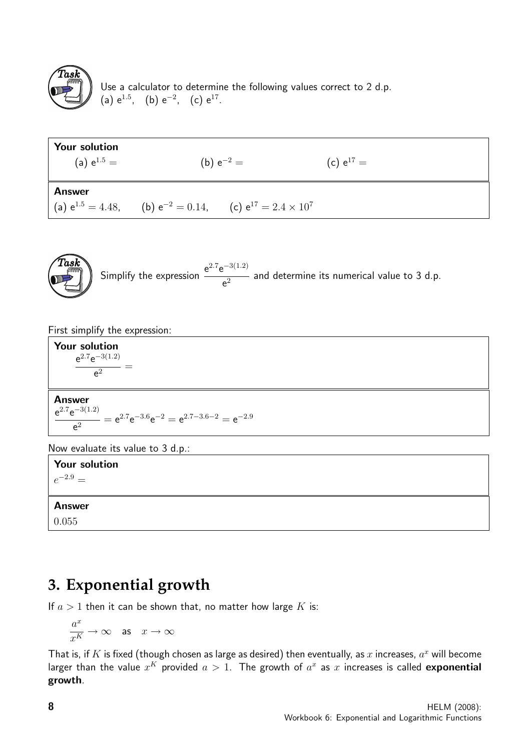

Use a calculator to determine the following values correct to 2 d.p. (a)  $e^{1.5}$ , (b)  $e^{-2}$ , (c)  $e^{17}$ .

| <b>Your solution</b><br>(a) $e^{1.5}$ = | (b) $e^{-2} =$                                                              | (c) $e^{17} =$ |
|-----------------------------------------|-----------------------------------------------------------------------------|----------------|
| <b>Answer</b>                           | (a) $e^{1.5} = 4.48$ , (b) $e^{-2} = 0.14$ , (c) $e^{17} = 2.4 \times 10^7$ |                |



Simplify the expression  $\frac{e^{2.7}e^{-3(1.2)}}{2}$  $\frac{1}{e^2}$  and determine its numerical value to 3 d.p.

First simplify the expression:

Your solution  $e^{2.7}e^{-3(1.2)}$  $\frac{1}{e^2}$  =

Answer  $e^{2.7}e^{-3(1.2)}$  $\frac{e^{2}}{e^{2}} = e^{2.7}e^{-3.6}e^{-2} = e^{2.7-3.6-2} = e^{-2.9}$ 

Now evaluate its value to 3 d.p.:

Your solution  $e^{-2.9} =$ Answer 0.055

## **3. Exponential growth**

If  $a > 1$  then it can be shown that, no matter how large K is:

$$
\frac{a^x}{x^K} \to \infty \quad \text{as} \quad x \to \infty
$$

That is, if  $K$  is fixed (though chosen as large as desired) then eventually, as  $x$  increases,  $a^x$  will become larger than the value  $x^K$  provided  $a > 1$ . The growth of  $a^x$  as  $x$  increases is called  $\bf{exponential}$ growth.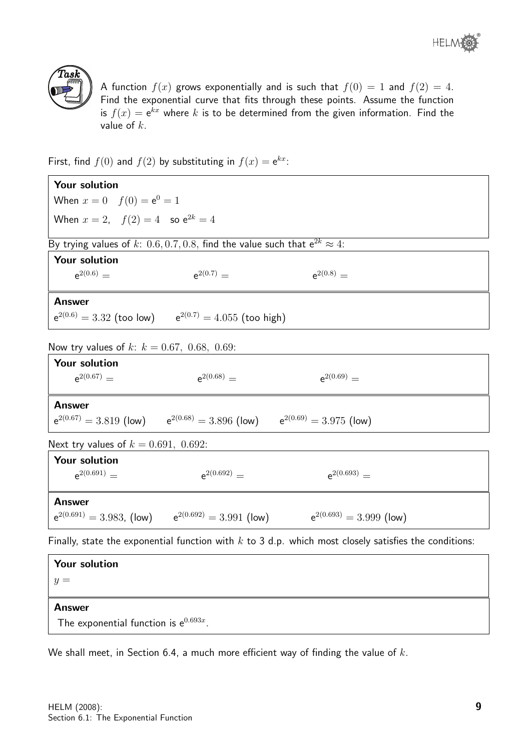

A function  $f(x)$  grows exponentially and is such that  $f(0) = 1$  and  $f(2) = 4$ . Find the exponential curve that fits through these points. Assume the function is  $f(x) = \mathrm{e}^{kx}$  where  $k$  is to be determined from the given information. Find the value of  $k$ .

First, find  $f(0)$  and  $f(2)$  by substituting in  $f(x) = e^{kx}$ .

| Your solution                                 |                                                                                     |                                                                                                         |  |
|-----------------------------------------------|-------------------------------------------------------------------------------------|---------------------------------------------------------------------------------------------------------|--|
| When $x = 0$ $f(0) = e^0 = 1$                 |                                                                                     |                                                                                                         |  |
| When $x = 2$ , $f(2) = 4$ so $e^{2k} = 4$     |                                                                                     |                                                                                                         |  |
|                                               | By trying values of k: 0.6, 0.7, 0.8, find the value such that $e^{2k} \approx 4$ : |                                                                                                         |  |
| <b>Your solution</b>                          |                                                                                     |                                                                                                         |  |
| $e^{2(0.6)} =$                                | $e^{2(0.7)} =$                                                                      | $e^{2(0.8)} =$                                                                                          |  |
| <b>Answer</b>                                 |                                                                                     |                                                                                                         |  |
|                                               | $e^{2(0.6)} = 3.32$ (too low) $e^{2(0.7)} = 4.055$ (too high)                       |                                                                                                         |  |
| Now try values of k: $k = 0.67, 0.68, 0.69$ : |                                                                                     |                                                                                                         |  |
| Your solution                                 |                                                                                     |                                                                                                         |  |
| $e^{2(0.67)} =$                               | $a^{2(0.68)} =$                                                                     | $n^{2(0.69)} =$                                                                                         |  |
| <b>Answer</b>                                 |                                                                                     |                                                                                                         |  |
|                                               | $e^{2(0.67)} = 3.819$ (low) $e^{2(0.68)} = 3.896$ (low) $e^{2(0.69)} = 3.975$ (low) |                                                                                                         |  |
| Next try values of $k = 0.691, 0.692$ :       |                                                                                     |                                                                                                         |  |
| <b>Your solution</b>                          |                                                                                     |                                                                                                         |  |
| $e^{2(0.691)} =$                              | $e^{2(0.692)} =$                                                                    | $a^{2(0.693)} =$                                                                                        |  |
| <b>Answer</b>                                 |                                                                                     |                                                                                                         |  |
|                                               | $e^{2(0.691)} = 3.983$ , (low) $e^{2(0.692)} = 3.991$ (low)                         | $e^{2(0.693)} = 3.999$ (low)                                                                            |  |
|                                               |                                                                                     | Finally, state the exponential function with $k$ to 3 d.p. which most closely satisfies the conditions: |  |
| Your solution                                 |                                                                                     |                                                                                                         |  |

 $y =$ 

#### Answer

The exponential function is  $e^{0.693x}$ .

We shall meet, in Section 6.4, a much more efficient way of finding the value of  $k$ .